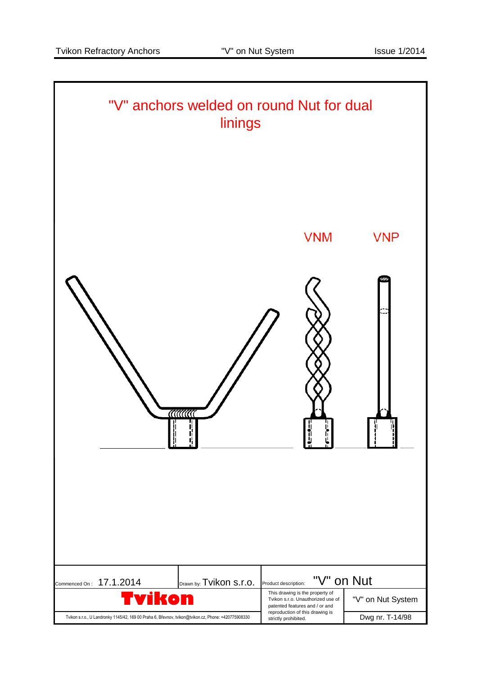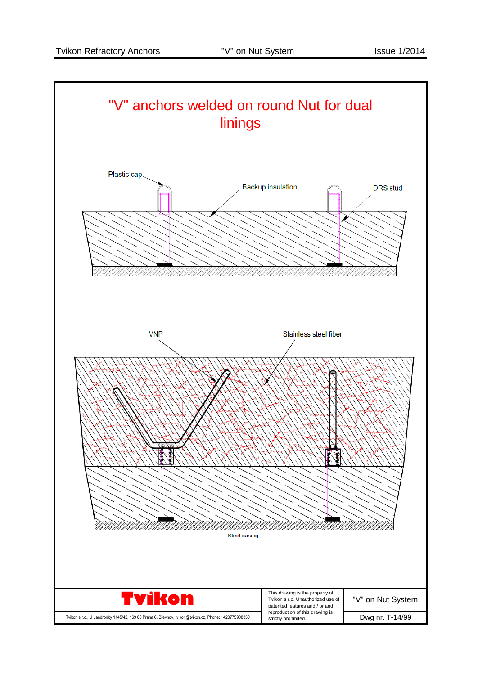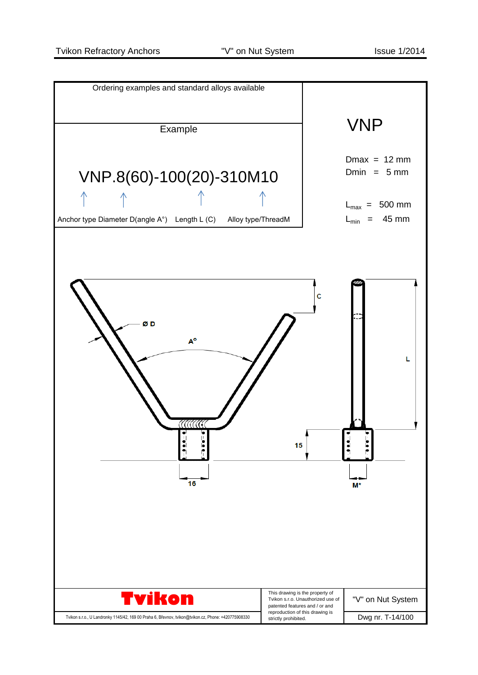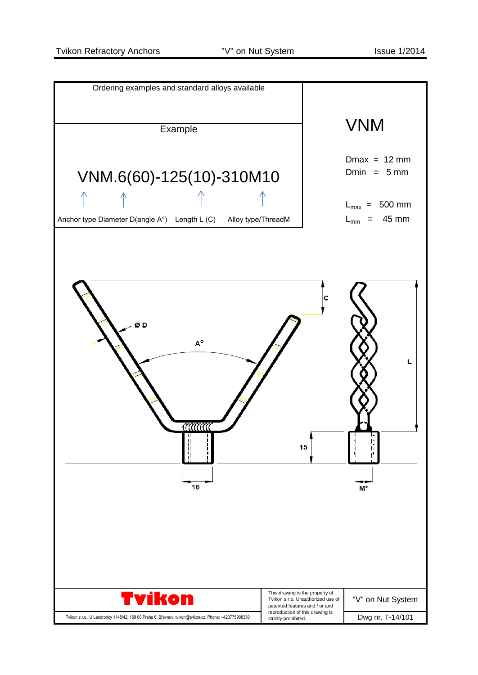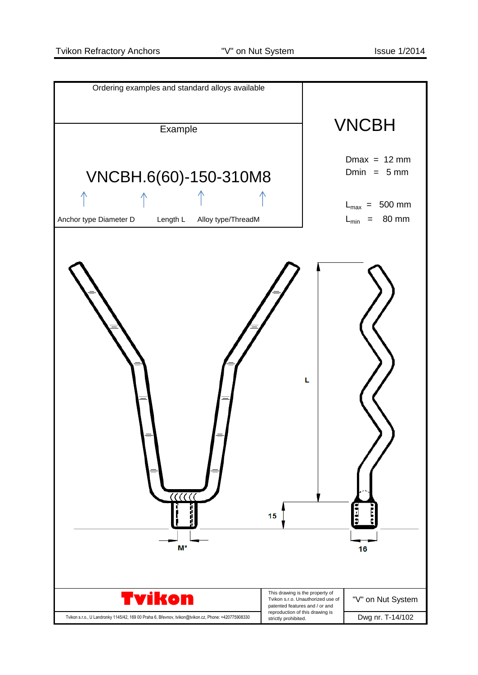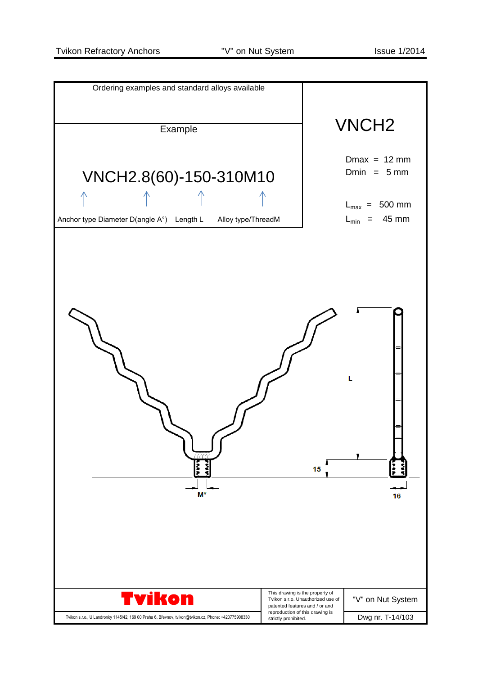